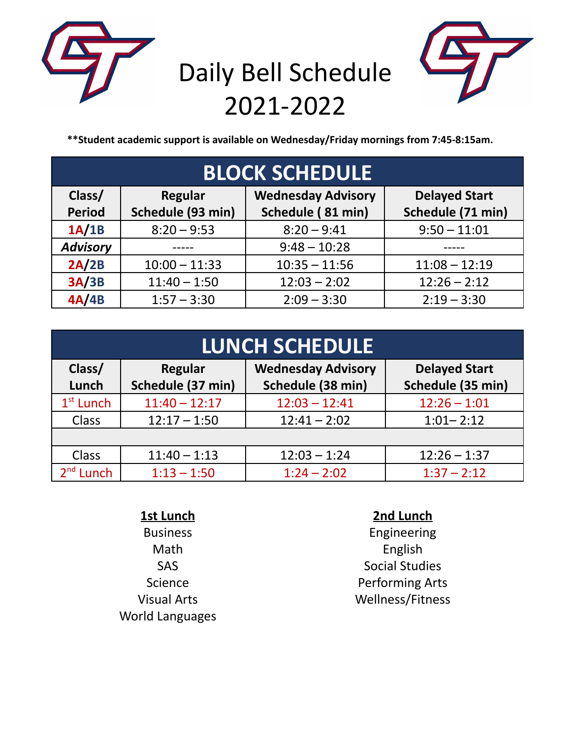

# Daily Bell Schedule 2021-2022



**\*\*Student academic support is available on Wednesday/Friday mornings from 7:45-8:15am.**

| <b>BLOCK SCHEDULE</b> |                   |                           |                      |  |  |
|-----------------------|-------------------|---------------------------|----------------------|--|--|
| Class/                | <b>Regular</b>    | <b>Wednesday Advisory</b> | <b>Delayed Start</b> |  |  |
| <b>Period</b>         | Schedule (93 min) | Schedule (81 min)         | Schedule (71 min)    |  |  |
| 1A/1B                 | $8:20 - 9:53$     | $8:20 - 9:41$             | $9:50 - 11:01$       |  |  |
| <b>Advisory</b>       |                   | $9:48 - 10:28$            |                      |  |  |
| 2A/2B                 | $10:00 - 11:33$   | $10:35 - 11:56$           | $11:08 - 12:19$      |  |  |
| 3A/3B                 | $11:40 - 1:50$    | $12:03 - 2:02$            | $12:26 - 2:12$       |  |  |
| 4A/4B                 | $1:57 - 3:30$     | $2:09 - 3:30$             | $2:19 - 3:30$        |  |  |

| <b>LUNCH SCHEDULE</b> |                                     |                                                |                                           |  |  |
|-----------------------|-------------------------------------|------------------------------------------------|-------------------------------------------|--|--|
| Class/<br>Lunch       | <b>Regular</b><br>Schedule (37 min) | <b>Wednesday Advisory</b><br>Schedule (38 min) | <b>Delayed Start</b><br>Schedule (35 min) |  |  |
| $1st$ Lunch           | $11:40 - 12:17$                     | $12:03 - 12:41$                                | $12:26 - 1:01$                            |  |  |
| <b>Class</b>          | $12:17 - 1:50$                      | $12:41 - 2:02$                                 | $1:01 - 2:12$                             |  |  |
|                       |                                     |                                                |                                           |  |  |
| <b>Class</b>          | $11:40 - 1:13$                      | $12:03 - 1:24$                                 | $12:26 - 1:37$                            |  |  |
| $2nd$ Lunch           | $1:13 - 1:50$                       | $1:24 - 2:02$                                  | $1:37 - 2:12$                             |  |  |

| 1st Lunch              | 2nd Lunch               |
|------------------------|-------------------------|
| <b>Business</b>        | Engineering             |
| Math                   | English                 |
| <b>SAS</b>             | <b>Social Studies</b>   |
| Science                | <b>Performing Arts</b>  |
| <b>Visual Arts</b>     | <b>Wellness/Fitness</b> |
| <b>World Languages</b> |                         |